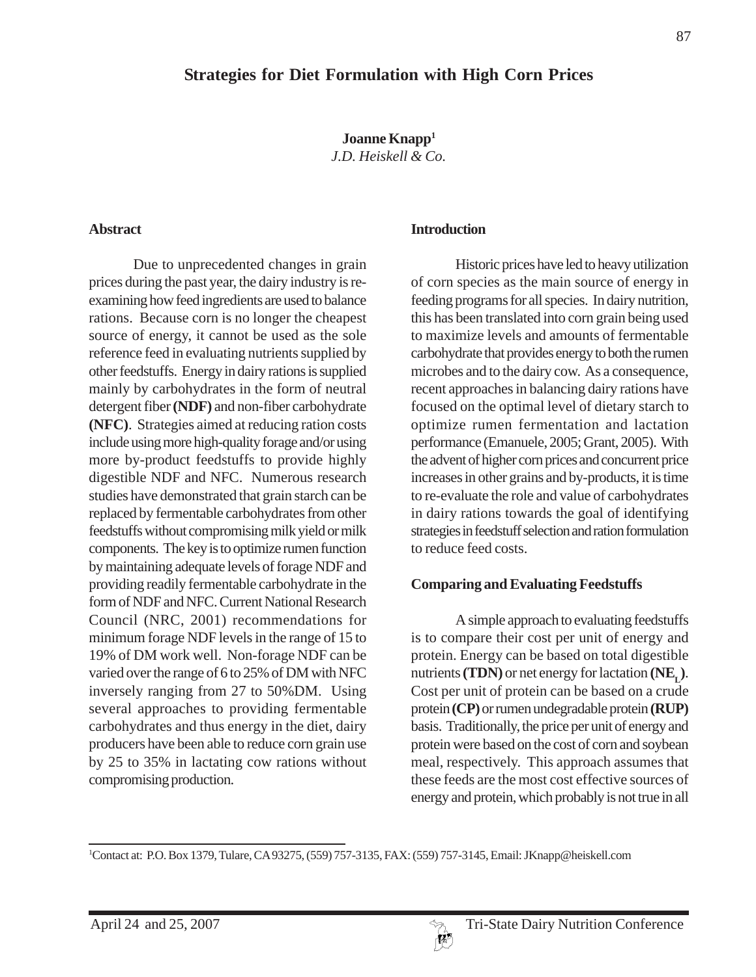**Joanne Knapp1** *J.D. Heiskell & Co.*

#### **Abstract**

Due to unprecedented changes in grain prices during the past year, the dairy industry is reexamining how feed ingredients are used to balance rations. Because corn is no longer the cheapest source of energy, it cannot be used as the sole reference feed in evaluating nutrients supplied by other feedstuffs. Energy in dairy rations is supplied mainly by carbohydrates in the form of neutral detergent fiber **(NDF)** and non-fiber carbohydrate **(NFC)**. Strategies aimed at reducing ration costs include using more high-quality forage and/or using more by-product feedstuffs to provide highly digestible NDF and NFC. Numerous research studies have demonstrated that grain starch can be replaced by fermentable carbohydrates from other feedstuffs without compromising milk yield or milk components. The key is to optimize rumen function by maintaining adequate levels of forage NDF and providing readily fermentable carbohydrate in the form of NDF and NFC. Current National Research Council (NRC, 2001) recommendations for minimum forage NDF levels in the range of 15 to 19% of DM work well. Non-forage NDF can be varied over the range of 6 to 25% of DM with NFC inversely ranging from 27 to 50%DM. Using several approaches to providing fermentable carbohydrates and thus energy in the diet, dairy producers have been able to reduce corn grain use by 25 to 35% in lactating cow rations without compromising production.

#### **Introduction**

Historic prices have led to heavy utilization of corn species as the main source of energy in feeding programs for all species. In dairy nutrition, this has been translated into corn grain being used to maximize levels and amounts of fermentable carbohydrate that provides energy to both the rumen microbes and to the dairy cow. As a consequence, recent approaches in balancing dairy rations have focused on the optimal level of dietary starch to optimize rumen fermentation and lactation performance (Emanuele, 2005; Grant, 2005). With the advent of higher corn prices and concurrent price increases in other grains and by-products, it is time to re-evaluate the role and value of carbohydrates in dairy rations towards the goal of identifying strategies in feedstuff selection and ration formulation to reduce feed costs.

#### **Comparing and Evaluating Feedstuffs**

A simple approach to evaluating feedstuffs is to compare their cost per unit of energy and protein. Energy can be based on total digestible nutrients **(TDN)** or net energy for lactation  $(NE<sub>r</sub>)$ . Cost per unit of protein can be based on a crude protein **(CP)** or rumen undegradable protein **(RUP)** basis. Traditionally, the price per unit of energy and protein were based on the cost of corn and soybean meal, respectively. This approach assumes that these feeds are the most cost effective sources of energy and protein, which probably is not true in all

1 Contact at: P.O. Box 1379, Tulare, CA 93275, (559) 757-3135, FAX: (559) 757-3145, Email: JKnapp@heiskell.com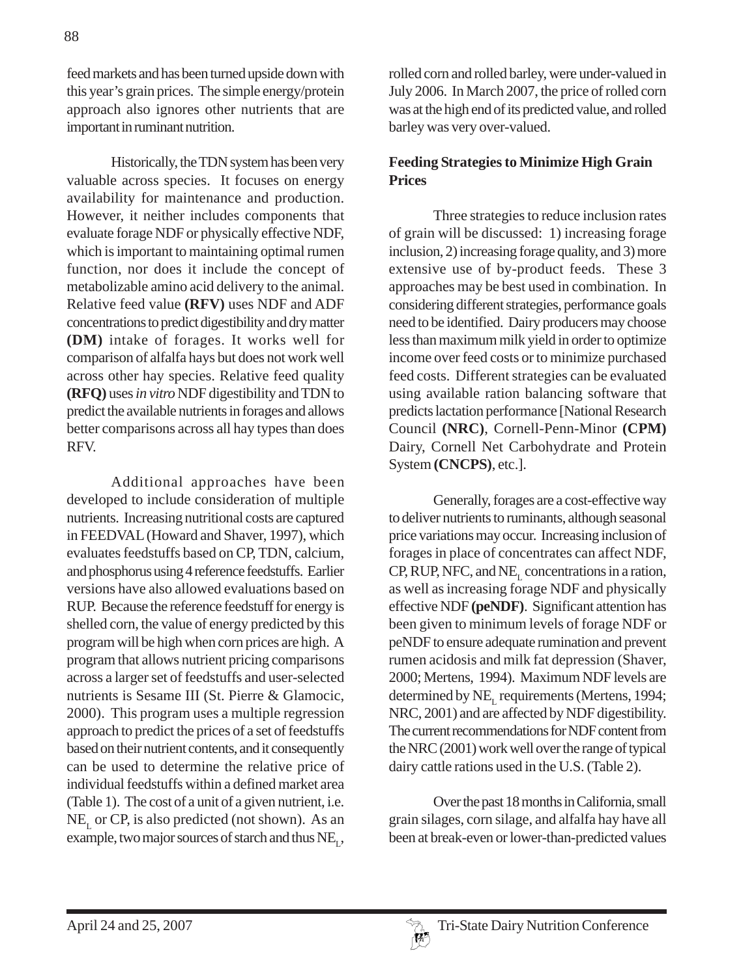feed markets and has been turned upside down with this year's grain prices. The simple energy/protein approach also ignores other nutrients that are important in ruminant nutrition.

Historically, the TDN system has been very valuable across species. It focuses on energy availability for maintenance and production. However, it neither includes components that evaluate forage NDF or physically effective NDF, which is important to maintaining optimal rumen function, nor does it include the concept of metabolizable amino acid delivery to the animal. Relative feed value **(RFV)** uses NDF and ADF concentrations to predict digestibility and dry matter **(DM)** intake of forages. It works well for comparison of alfalfa hays but does not work well across other hay species. Relative feed quality **(RFQ)** uses *in vitro* NDF digestibility and TDN to predict the available nutrients in forages and allows better comparisons across all hay types than does RFV.

Additional approaches have been developed to include consideration of multiple nutrients. Increasing nutritional costs are captured in FEEDVAL (Howard and Shaver, 1997), which evaluates feedstuffs based on CP, TDN, calcium, and phosphorus using 4 reference feedstuffs. Earlier versions have also allowed evaluations based on RUP. Because the reference feedstuff for energy is shelled corn, the value of energy predicted by this program will be high when corn prices are high. A program that allows nutrient pricing comparisons across a larger set of feedstuffs and user-selected nutrients is Sesame III (St. Pierre & Glamocic, 2000). This program uses a multiple regression approach to predict the prices of a set of feedstuffs based on their nutrient contents, and it consequently can be used to determine the relative price of individual feedstuffs within a defined market area (Table 1). The cost of a unit of a given nutrient, i.e.  $NE<sub>r</sub>$  or CP, is also predicted (not shown). As an example, two major sources of starch and thus  $NE_{r}$ ,

rolled corn and rolled barley, were under-valued in July 2006. In March 2007, the price of rolled corn was at the high end of its predicted value, and rolled barley was very over-valued.

# **Feeding Strategies to Minimize High Grain Prices**

Three strategies to reduce inclusion rates of grain will be discussed: 1) increasing forage inclusion, 2) increasing forage quality, and 3) more extensive use of by-product feeds. These 3 approaches may be best used in combination. In considering different strategies, performance goals need to be identified. Dairy producers may choose less than maximum milk yield in order to optimize income over feed costs or to minimize purchased feed costs. Different strategies can be evaluated using available ration balancing software that predicts lactation performance [National Research Council **(NRC)**, Cornell-Penn-Minor **(CPM)** Dairy, Cornell Net Carbohydrate and Protein System **(CNCPS)**, etc.].

Generally, forages are a cost-effective way to deliver nutrients to ruminants, although seasonal price variations may occur. Increasing inclusion of forages in place of concentrates can affect NDF,  $CP$ , RUP, NFC, and NE<sub>L</sub> concentrations in a ration, as well as increasing forage NDF and physically effective NDF **(peNDF)**. Significant attention has been given to minimum levels of forage NDF or peNDF to ensure adequate rumination and prevent rumen acidosis and milk fat depression (Shaver, 2000; Mertens, 1994). Maximum NDF levels are determined by  $NE<sub>L</sub>$  requirements (Mertens, 1994; NRC, 2001) and are affected by NDF digestibility. The current recommendations for NDF content from the NRC (2001) work well over the range of typical dairy cattle rations used in the U.S. (Table 2).

Over the past 18 months in California, small grain silages, corn silage, and alfalfa hay have all been at break-even or lower-than-predicted values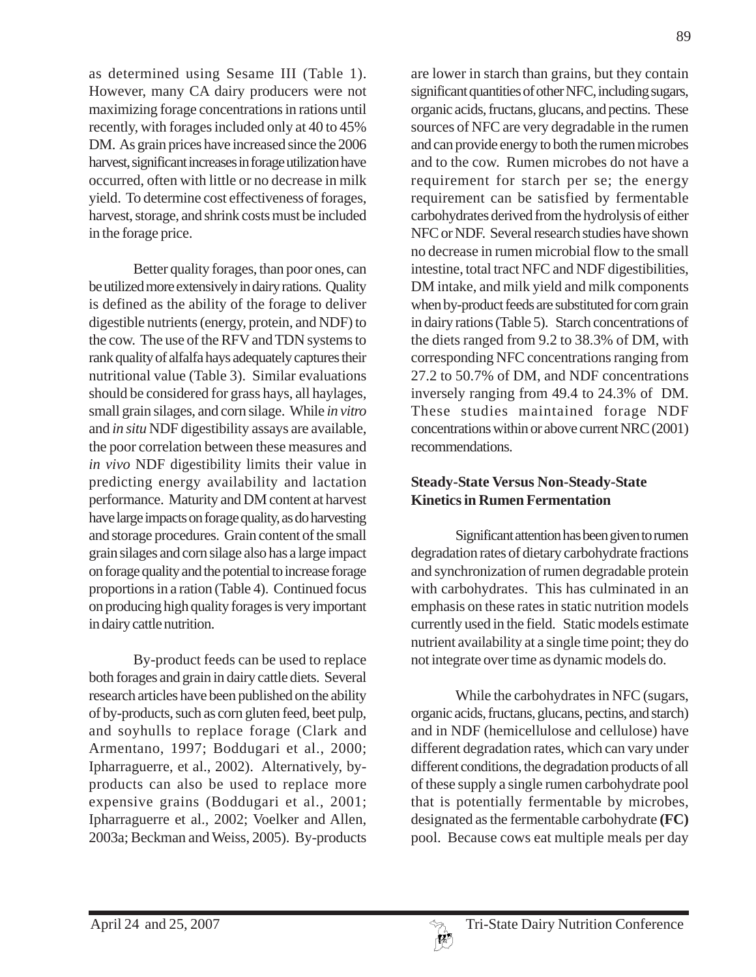89

as determined using Sesame III (Table 1). However, many CA dairy producers were not maximizing forage concentrations in rations until recently, with forages included only at 40 to 45% DM. As grain prices have increased since the 2006 harvest, significant increases in forage utilization have occurred, often with little or no decrease in milk yield. To determine cost effectiveness of forages, harvest, storage, and shrink costs must be included in the forage price.

Better quality forages, than poor ones, can be utilized more extensively in dairy rations. Quality is defined as the ability of the forage to deliver digestible nutrients (energy, protein, and NDF) to the cow. The use of the RFV and TDN systems to rank quality of alfalfa hays adequately captures their nutritional value (Table 3). Similar evaluations should be considered for grass hays, all haylages, small grain silages, and corn silage. While *in vitro* and *in situ* NDF digestibility assays are available, the poor correlation between these measures and *in vivo* NDF digestibility limits their value in predicting energy availability and lactation performance. Maturity and DM content at harvest have large impacts on forage quality, as do harvesting and storage procedures. Grain content of the small grain silages and corn silage also has a large impact on forage quality and the potential to increase forage proportions in a ration (Table 4). Continued focus on producing high quality forages is very important in dairy cattle nutrition.

By-product feeds can be used to replace both forages and grain in dairy cattle diets. Several research articles have been published on the ability of by-products, such as corn gluten feed, beet pulp, and soyhulls to replace forage (Clark and Armentano, 1997; Boddugari et al., 2000; Ipharraguerre, et al., 2002). Alternatively, byproducts can also be used to replace more expensive grains (Boddugari et al., 2001; Ipharraguerre et al., 2002; Voelker and Allen, 2003a; Beckman and Weiss, 2005). By-products

are lower in starch than grains, but they contain significant quantities of other NFC, including sugars, organic acids, fructans, glucans, and pectins. These sources of NFC are very degradable in the rumen and can provide energy to both the rumen microbes and to the cow. Rumen microbes do not have a requirement for starch per se; the energy requirement can be satisfied by fermentable carbohydrates derived from the hydrolysis of either NFC or NDF. Several research studies have shown no decrease in rumen microbial flow to the small intestine, total tract NFC and NDF digestibilities, DM intake, and milk yield and milk components when by-product feeds are substituted for corn grain in dairy rations (Table 5). Starch concentrations of the diets ranged from 9.2 to 38.3% of DM, with corresponding NFC concentrations ranging from 27.2 to 50.7% of DM, and NDF concentrations inversely ranging from 49.4 to 24.3% of DM. These studies maintained forage NDF concentrations within or above current NRC (2001) recommendations.

# **Steady-State Versus Non-Steady-State Kinetics in Rumen Fermentation**

Significant attention has been given to rumen degradation rates of dietary carbohydrate fractions and synchronization of rumen degradable protein with carbohydrates. This has culminated in an emphasis on these rates in static nutrition models currently used in the field. Static models estimate nutrient availability at a single time point; they do not integrate over time as dynamic models do.

While the carbohydrates in NFC (sugars, organic acids, fructans, glucans, pectins, and starch) and in NDF (hemicellulose and cellulose) have different degradation rates, which can vary under different conditions, the degradation products of all of these supply a single rumen carbohydrate pool that is potentially fermentable by microbes, designated as the fermentable carbohydrate **(FC)** pool. Because cows eat multiple meals per day

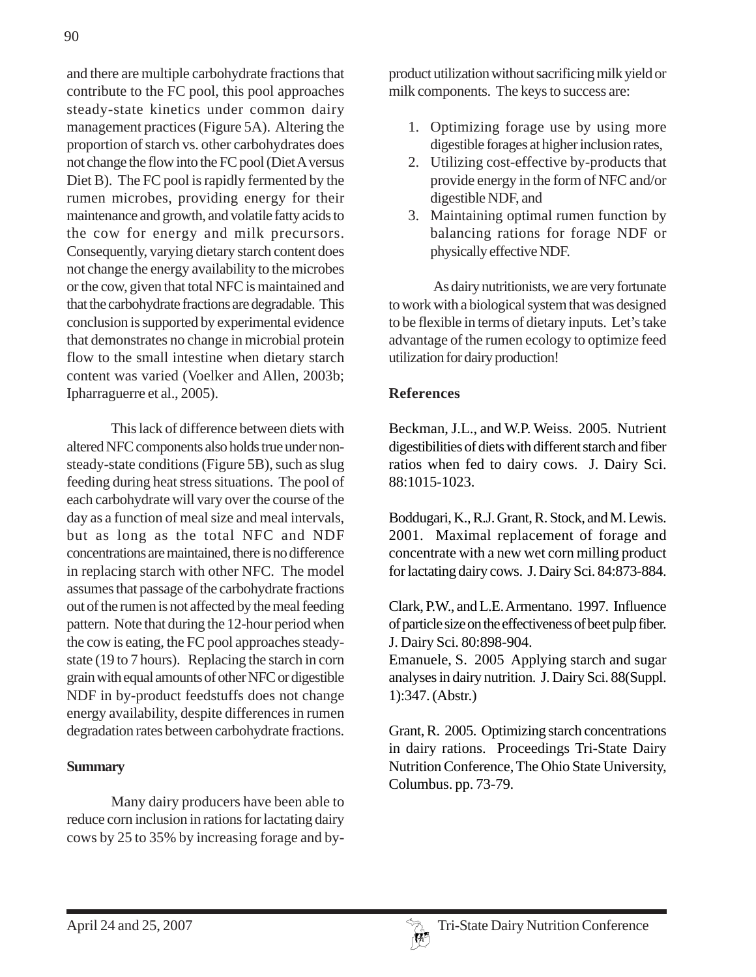and there are multiple carbohydrate fractions that contribute to the FC pool, this pool approaches steady-state kinetics under common dairy management practices (Figure 5A). Altering the proportion of starch vs. other carbohydrates does not change the flow into the FC pool (Diet A versus Diet B). The FC pool is rapidly fermented by the rumen microbes, providing energy for their maintenance and growth, and volatile fatty acids to the cow for energy and milk precursors. Consequently, varying dietary starch content does not change the energy availability to the microbes or the cow, given that total NFC is maintained and that the carbohydrate fractions are degradable. This conclusion is supported by experimental evidence that demonstrates no change in microbial protein flow to the small intestine when dietary starch content was varied (Voelker and Allen, 2003b; Ipharraguerre et al., 2005).

This lack of difference between diets with altered NFC components also holds true under nonsteady-state conditions (Figure 5B), such as slug feeding during heat stress situations. The pool of each carbohydrate will vary over the course of the day as a function of meal size and meal intervals, but as long as the total NFC and NDF concentrations are maintained, there is no difference in replacing starch with other NFC. The model assumes that passage of the carbohydrate fractions out of the rumen is not affected by the meal feeding pattern. Note that during the 12-hour period when the cow is eating, the FC pool approaches steadystate (19 to 7 hours). Replacing the starch in corn grain with equal amounts of other NFC or digestible NDF in by-product feedstuffs does not change energy availability, despite differences in rumen degradation rates between carbohydrate fractions.

### **Summary**

Many dairy producers have been able to reduce corn inclusion in rations for lactating dairy cows by 25 to 35% by increasing forage and byproduct utilization without sacrificing milk yield or milk components. The keys to success are:

- 1. Optimizing forage use by using more digestible forages at higher inclusion rates,
- 2. Utilizing cost-effective by-products that provide energy in the form of NFC and/or digestible NDF, and
- 3. Maintaining optimal rumen function by balancing rations for forage NDF or physically effective NDF.

As dairy nutritionists, we are very fortunate to work with a biological system that was designed to be flexible in terms of dietary inputs. Let's take advantage of the rumen ecology to optimize feed utilization for dairy production!

## **References**

Beckman, J.L., and W.P. Weiss. 2005. Nutrient digestibilities of diets with different starch and fiber ratios when fed to dairy cows. J. Dairy Sci. 88:1015-1023.

Boddugari, K., R.J. Grant, R. Stock, and M. Lewis. 2001. Maximal replacement of forage and concentrate with a new wet corn milling product for lactating dairy cows. J. Dairy Sci. 84:873-884.

Clark, P.W., and L.E. Armentano. 1997. Influence of particle size on the effectiveness of beet pulp fiber. J. Dairy Sci. 80:898-904.

Emanuele, S. 2005 Applying starch and sugar analyses in dairy nutrition. J. Dairy Sci. 88(Suppl. 1):347. (Abstr.)

Grant, R. 2005. Optimizing starch concentrations in dairy rations. Proceedings Tri-State Dairy Nutrition Conference, The Ohio State University, Columbus. pp. 73-79.

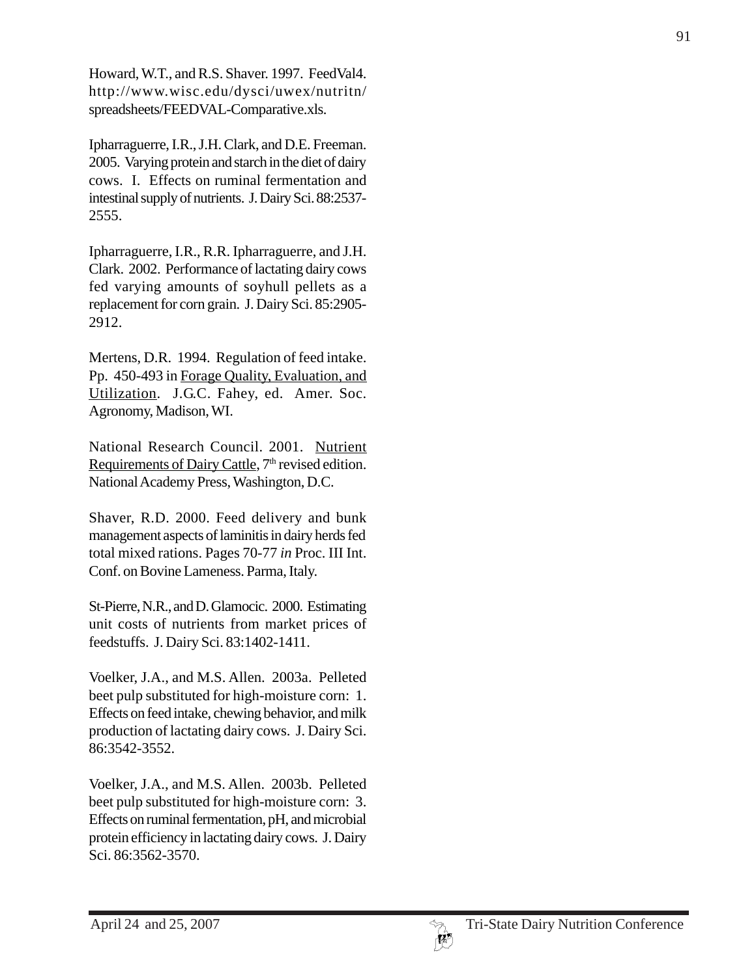Howard, W.T., and R.S. Shaver. 1997. FeedVal4. http://www.wisc.edu/dysci/uwex/nutritn/ spreadsheets/FEEDVAL-Comparative.xls.

Ipharraguerre, I.R., J.H. Clark, and D.E. Freeman. 2005. Varying protein and starch in the diet of dairy cows. I. Effects on ruminal fermentation and intestinal supply of nutrients. J. Dairy Sci. 88:2537- 2555.

Ipharraguerre, I.R., R.R. Ipharraguerre, and J.H. Clark. 2002. Performance of lactating dairy cows fed varying amounts of soyhull pellets as a replacement for corn grain. J. Dairy Sci. 85:2905- 2912.

Mertens, D.R. 1994. Regulation of feed intake. Pp. 450-493 in Forage Quality, Evaluation, and Utilization. J.G.C. Fahey, ed. Amer. Soc. Agronomy, Madison, WI.

National Research Council. 2001. Nutrient Requirements of Dairy Cattle, 7<sup>th</sup> revised edition. National Academy Press, Washington, D.C.

Shaver, R.D. 2000. Feed delivery and bunk management aspects of laminitis in dairy herds fed total mixed rations. Pages 70-77 *in* Proc. III Int. Conf. on Bovine Lameness. Parma, Italy.

St-Pierre, N.R., and D. Glamocic. 2000. Estimating unit costs of nutrients from market prices of feedstuffs. J. Dairy Sci. 83:1402-1411.

Voelker, J.A., and M.S. Allen. 2003a. Pelleted beet pulp substituted for high-moisture corn: 1. Effects on feed intake, chewing behavior, and milk production of lactating dairy cows. J. Dairy Sci. 86:3542-3552.

Voelker, J.A., and M.S. Allen. 2003b. Pelleted beet pulp substituted for high-moisture corn: 3. Effects on ruminal fermentation, pH, and microbial protein efficiency in lactating dairy cows. J. Dairy Sci. 86:3562-3570.

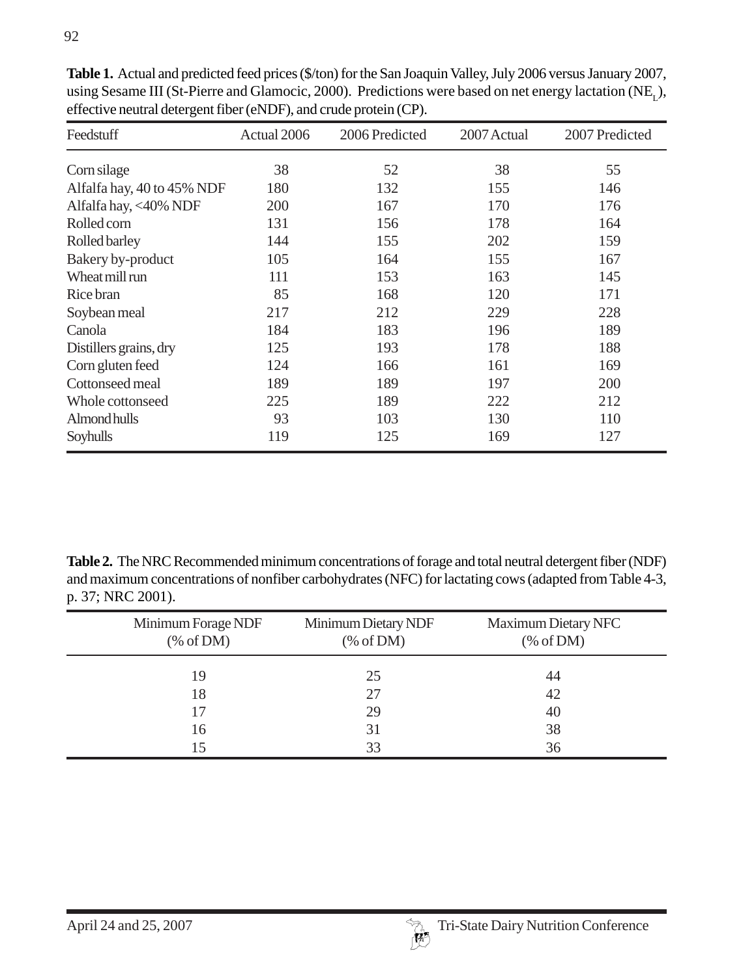| Feedstuff                  | Actual 2006 | 2006 Predicted | 2007 Actual | 2007 Predicted |  |
|----------------------------|-------------|----------------|-------------|----------------|--|
| Corn silage                | 38          | 52             | 38          | 55             |  |
| Alfalfa hay, 40 to 45% NDF | 180         | 132            | 155         | 146            |  |
| Alfalfa hay, <40% NDF      | 200         | 167            | 170         | 176            |  |
| Rolled corn                | 131         | 156            | 178         | 164            |  |
| Rolled barley              | 144         | 155            | 202         | 159            |  |
| Bakery by-product          | 105         | 164            | 155         | 167            |  |
| Wheat mill run             | 111         | 153            | 163         | 145            |  |
| Rice bran                  | 85          | 168            | 120         | 171            |  |
| Soybean meal               | 217         | 212            | 229         | 228            |  |
| Canola                     | 184         | 183            | 196         | 189            |  |
| Distillers grains, dry     | 125         | 193            | 178         | 188            |  |
| Corn gluten feed           | 124         | 166            | 161         | 169            |  |
| Cottonseed meal            | 189         | 189            | 197         | 200            |  |
| Whole cottonseed           | 225         | 189            | 222         | 212            |  |
| Almond hulls               | 93          | 103            | 130         | 110            |  |
| Soyhulls                   | 119         | 125            | 169         | 127            |  |

**Table 1.** Actual and predicted feed prices (\$/ton) for the San Joaquin Valley, July 2006 versus January 2007, using Sesame III (St-Pierre and Glamocic, 2000). Predictions were based on net energy lactation (NE,), effective neutral detergent fiber (eNDF), and crude protein (CP).

**Table 2.** The NRC Recommended minimum concentrations of forage and total neutral detergent fiber (NDF) and maximum concentrations of nonfiber carbohydrates (NFC) for lactating cows (adapted from Table 4-3, p. 37; NRC 2001).

| Minimum Forage NDF<br>% of DM) | Minimum Dietary NDF<br>% of DM) | Maximum Dietary NFC<br>% of DM) |
|--------------------------------|---------------------------------|---------------------------------|
| 19                             | 25                              | 44                              |
| 18                             | 27                              | 42                              |
| 17                             | 29                              | 40                              |
| 16                             | 31                              | 38                              |
| 15                             | 33                              | 36                              |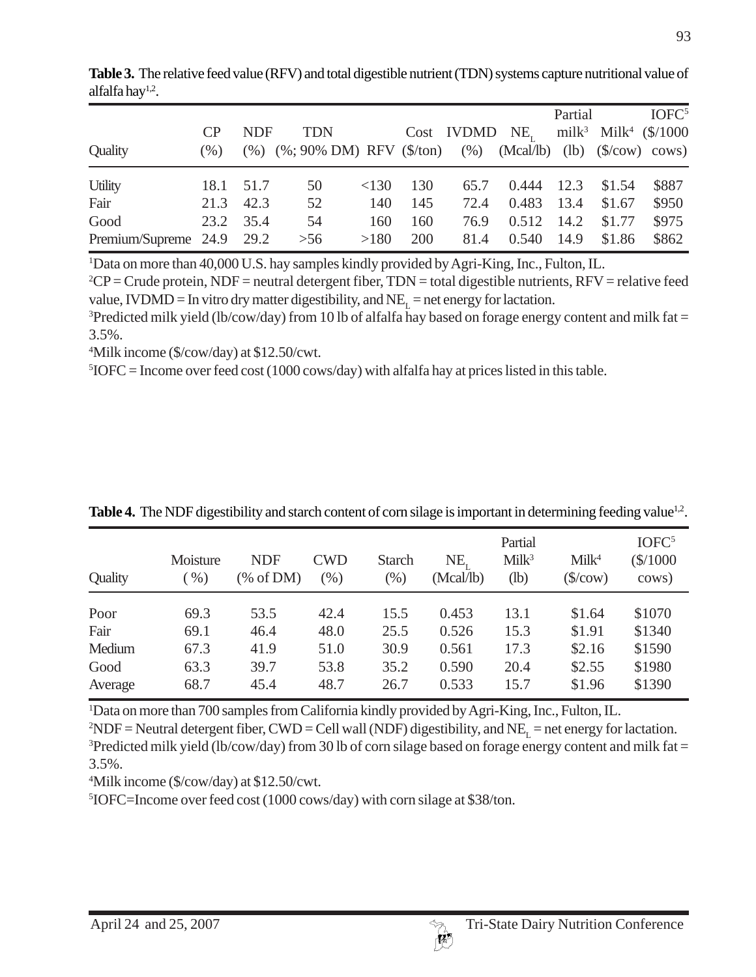|                           |      |            |                                                                                             |      |     |            |          | Partial |                                              | IOFC <sup>5</sup> |
|---------------------------|------|------------|---------------------------------------------------------------------------------------------|------|-----|------------|----------|---------|----------------------------------------------|-------------------|
|                           | CP   | <b>NDF</b> | <b>TDN</b>                                                                                  |      |     | Cost IVDMD | $NE_{r}$ |         | milk <sup>3</sup> Milk <sup>4</sup> (\$/1000 |                   |
| Quality                   | (% ) | $(\% )$    | $(\%; 90\% \text{ DM})$ RFV $(\$/\text{ton})$ $(\%)$ (Mcal/lb) (lb) $(\$/\text{cow})$ cows) |      |     |            |          |         |                                              |                   |
| <b>Utility</b>            | 18.1 | 51.7       | 50                                                                                          | <130 | 130 | 65.7       | 0.444    | 12.3    | \$1.54                                       | \$887             |
| Fair                      | 21.3 | 42.3       | 52                                                                                          | 140  | 145 | 72.4       | 0.483    | 13.4    | \$1.67                                       | \$950             |
| Good                      | 23.2 | 35.4       | 54                                                                                          | 160  | 160 | 76.9       | 0.512    | 14.2    | \$1.77                                       | \$975             |
| Premium/Supreme 24.9 29.2 |      |            | $>56$                                                                                       | >180 | 200 | 81.4       | 0.540    | 14.9    | \$1.86                                       | \$862             |

**Table 3.** The relative feed value (RFV) and total digestible nutrient (TDN) systems capture nutritional value of alfalfa hay $1,2$ .

<sup>1</sup>Data on more than 40,000 U.S. hay samples kindly provided by Agri-King, Inc., Fulton, IL.

 ${}^{2}CP =$  Crude protein, NDF = neutral detergent fiber, TDN = total digestible nutrients, RFV = relative feed value, IVDMD = In vitro dry matter digestibility, and  $NE_{\tau}$  = net energy for lactation.

<sup>3</sup>Predicted milk yield (lb/cow/day) from 10 lb of alfalfa hay based on forage energy content and milk fat = 3.5%.

4 Milk income (\$/cow/day) at \$12.50/cwt.

 ${}^{5}$ IOFC = Income over feed cost (1000 cows/day) with alfalfa hay at prices listed in this table.

| Quality | Moisture<br>(96) | <b>NDF</b><br>% of DM | <b>CWD</b><br>$(\%)$ | <b>Starch</b><br>(%) | NE,<br>(Mcal/lb) | Partial<br>Milk <sup>3</sup><br>$(lb)$ | Milk <sup>4</sup><br>$(\frac{\sqrt{2}}{2})$ | IOFC <sup>5</sup><br>\$/1000<br>cows) |
|---------|------------------|-----------------------|----------------------|----------------------|------------------|----------------------------------------|---------------------------------------------|---------------------------------------|
| Poor    | 69.3             | 53.5                  | 42.4                 | 15.5                 | 0.453            | 13.1                                   | \$1.64                                      | \$1070                                |
| Fair    | 69.1             | 46.4                  | 48.0                 | 25.5                 | 0.526            | 15.3                                   | \$1.91                                      | \$1340                                |
| Medium  | 67.3             | 41.9                  | 51.0                 | 30.9                 | 0.561            | 17.3                                   | \$2.16                                      | \$1590                                |
| Good    | 63.3             | 39.7                  | 53.8                 | 35.2                 | 0.590            | 20.4                                   | \$2.55                                      | \$1980                                |
| Average | 68.7             | 45.4                  | 48.7                 | 26.7                 | 0.533            | 15.7                                   | \$1.96                                      | \$1390                                |

**Table 4.** The NDF digestibility and starch content of corn silage is important in determining feeding value<sup>1,2</sup>.

1 Data on more than 700 samples from California kindly provided by Agri-King, Inc., Fulton, IL.

 $2NDF =$  Neutral detergent fiber, CWD = Cell wall (NDF) digestibility, and NE<sub>L</sub> = net energy for lactation. <sup>3</sup>Predicted milk yield (lb/cow/day) from 30 lb of corn silage based on forage energy content and milk fat = 3.5%.

4 Milk income (\$/cow/day) at \$12.50/cwt.

5 IOFC=Income over feed cost (1000 cows/day) with corn silage at \$38/ton.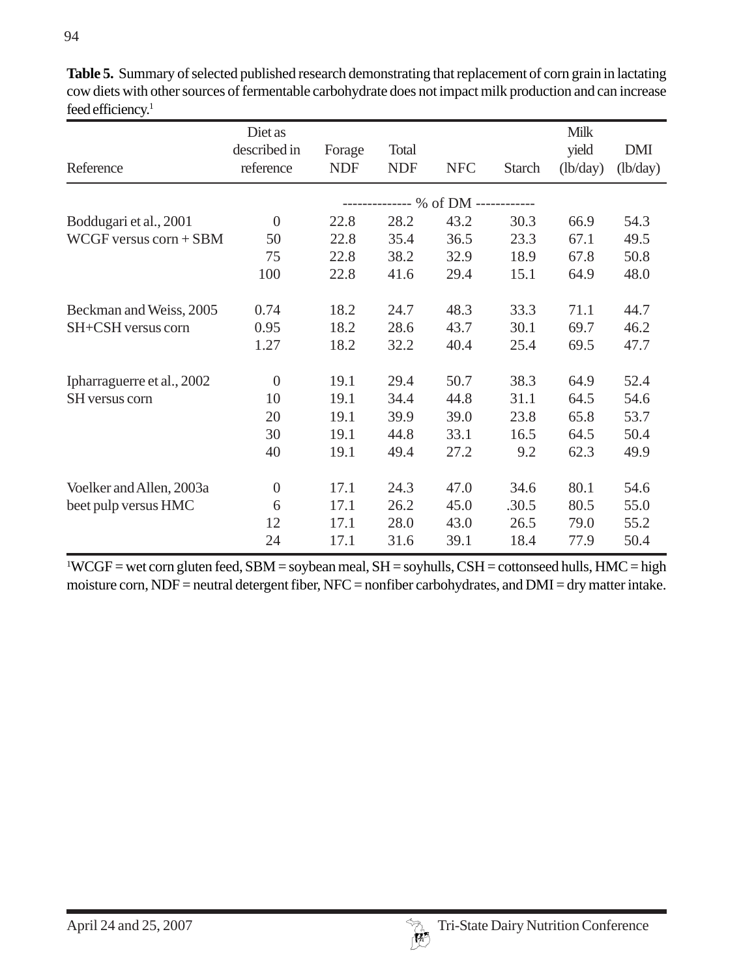| Reference                  | Diet as<br>described in<br>reference | Forage<br><b>NDF</b> | Total<br><b>NDF</b> | <b>NFC</b>       | <b>Starch</b> | <b>Milk</b><br>yield<br>(lb/day) | <b>DMI</b><br>(lb/day) |
|----------------------------|--------------------------------------|----------------------|---------------------|------------------|---------------|----------------------------------|------------------------|
|                            |                                      |                      |                     | ------ % of DM - | ----------    |                                  |                        |
| Boddugari et al., 2001     | $\theta$                             | 22.8                 | 28.2                | 43.2             | 30.3          | 66.9                             | 54.3                   |
| $WCGF$ versus $corn + SBM$ | 50                                   | 22.8                 | 35.4                | 36.5             | 23.3          | 67.1                             | 49.5                   |
|                            | 75                                   | 22.8                 | 38.2                | 32.9             | 18.9          | 67.8                             | 50.8                   |
|                            | 100                                  | 22.8                 | 41.6                | 29.4             | 15.1          | 64.9                             | 48.0                   |
| Beckman and Weiss, 2005    | 0.74                                 | 18.2                 | 24.7                | 48.3             | 33.3          | 71.1                             | 44.7                   |
| SH+CSH versus corn         | 0.95                                 | 18.2                 | 28.6                | 43.7             | 30.1          | 69.7                             | 46.2                   |
|                            | 1.27                                 | 18.2                 | 32.2                | 40.4             | 25.4          | 69.5                             | 47.7                   |
| Ipharraguerre et al., 2002 | $\theta$                             | 19.1                 | 29.4                | 50.7             | 38.3          | 64.9                             | 52.4                   |
| SH versus corn             | 10                                   | 19.1                 | 34.4                | 44.8             | 31.1          | 64.5                             | 54.6                   |
|                            | 20                                   | 19.1                 | 39.9                | 39.0             | 23.8          | 65.8                             | 53.7                   |
|                            | 30                                   | 19.1                 | 44.8                | 33.1             | 16.5          | 64.5                             | 50.4                   |
|                            | 40                                   | 19.1                 | 49.4                | 27.2             | 9.2           | 62.3                             | 49.9                   |
| Voelker and Allen, 2003a   | $\boldsymbol{0}$                     | 17.1                 | 24.3                | 47.0             | 34.6          | 80.1                             | 54.6                   |
| beet pulp versus HMC       | 6                                    | 17.1                 | 26.2                | 45.0             | .30.5         | 80.5                             | 55.0                   |
|                            | 12                                   | 17.1                 | 28.0                | 43.0             | 26.5          | 79.0                             | 55.2                   |
|                            | 24                                   | 17.1                 | 31.6                | 39.1             | 18.4          | 77.9                             | 50.4                   |

**Table 5.** Summary of selected published research demonstrating that replacement of corn grain in lactating cow diets with other sources of fermentable carbohydrate does not impact milk production and can increase feed efficiency.<sup>1</sup>

 $11 \text{WCGF} =$  wet corn gluten feed, SBM = soybean meal, SH = soyhulls, CSH = cottonseed hulls, HMC = high moisture corn, NDF = neutral detergent fiber, NFC = nonfiber carbohydrates, and DMI = dry matter intake.